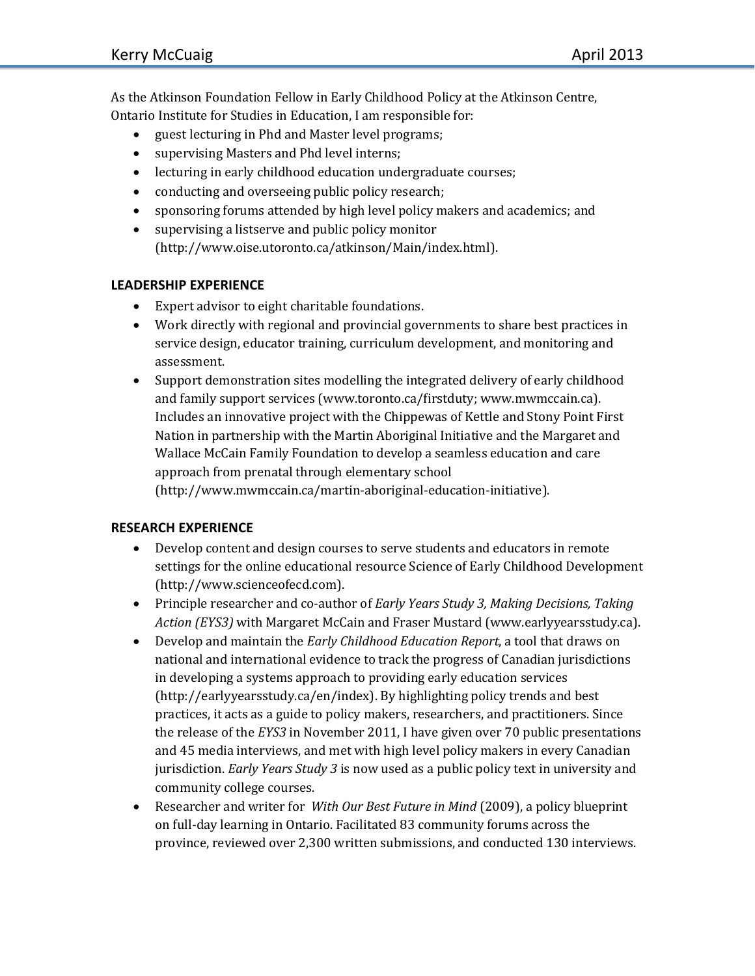As the Atkinson Foundation Fellow in Early Childhood Policy at the Atkinson Centre, Ontario Institute for Studies in Education, I am responsible for:

- guest lecturing in Phd and Master level programs;
- supervising Masters and Phd level interns;
- lecturing in early childhood education undergraduate courses;
- conducting and overseeing public policy research;
- sponsoring forums attended by high level policy makers and academics; and
- supervising a listserve and public policy monitor [\(http://www.oise.utoronto.ca/atkinson/Main/index.html\)](http://www.oise.utoronto.ca/atkinson/Main/index.html).

## **LEADERSHIP EXPERIENCE**

- Expert advisor to eight charitable foundations.
- Work directly with regional and provincial governments to share best practices in service design, educator training, curriculum development, and monitoring and assessment.
- Support demonstration sites modelling the integrated delivery of early childhood and family support services [\(www.toronto.ca/firstduty;](http://www.toronto.ca/firstduty) [www.mwmccain.ca\)](http://www.mwmccain.ca/). Includes an innovative project with the Chippewas of Kettle and Stony Point First Nation in partnership with the Martin Aboriginal Initiative and the Margaret and Wallace McCain Family Foundation to develop a seamless education and care approach from prenatal through elementary school (http://www.mwmccain.ca/martin-aboriginal-education-initiative).

## **RESEARCH EXPERIENCE**

- Develop content and design courses to serve students and educators in remote settings for the online educational resource Science of Early Childhood Development [\(http://www.scienceofecd.com\)](http://www.scienceofecd.com/).
- Principle researcher and co-author of *Early Years Study 3, Making Decisions, Taking Action (EYS3)* with Margaret McCain and Fraser Mustard [\(www.earlyyearsstudy.ca\)](http://www.earlyyearsstudy.ca/).
- Develop and maintain the *Early Childhood Education Report*, a tool that draws on national and international evidence to track the progress of Canadian jurisdictions in developing a systems approach to providing early education services (http://earlyyearsstudy.ca/en/index). By highlighting policy trends and best practices, it acts as a guide to policy makers, researchers, and practitioners. Since the release of the *EYS3* in November 2011, I have given over 70 public presentations and 45 media interviews, and met with high level policy makers in every Canadian jurisdiction. *Early Years Study 3* is now used as a public policy text in university and community college courses.
- Researcher and writer for *With Our Best Future in Mind* (2009), a policy blueprint on full-day learning in Ontario. Facilitated 83 community forums across the province, reviewed over 2,300 written submissions, and conducted 130 interviews.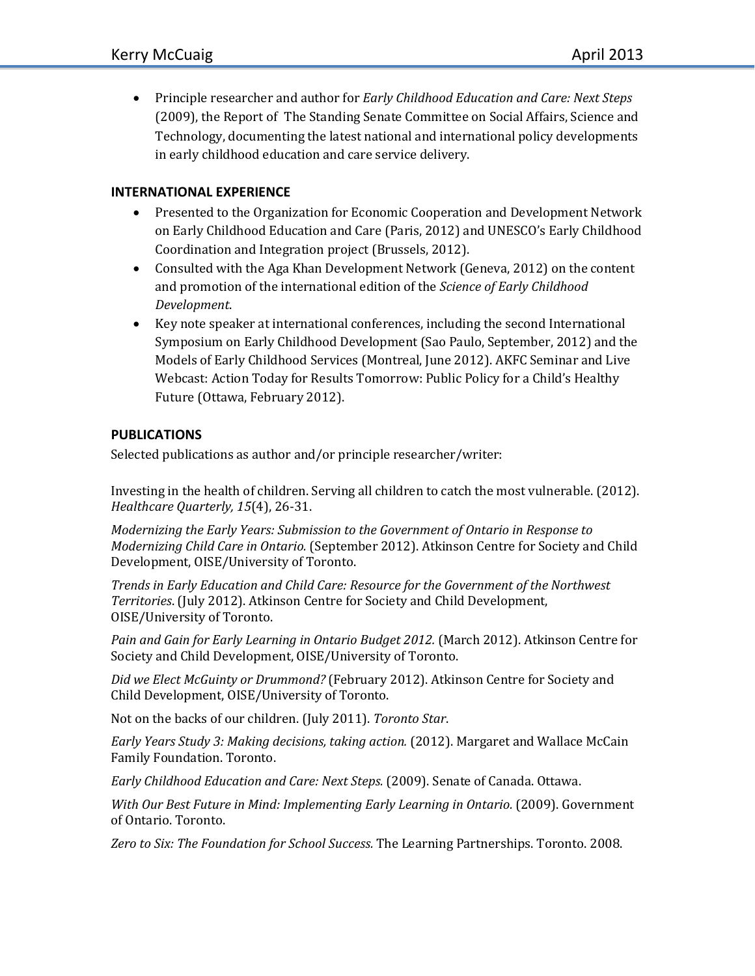Principle researcher and author for *Early Childhood Education and Care: Next Steps*  (2009), the Report of The Standing Senate Committee on Social Affairs, Science and Technology, documenting the latest national and international policy developments in early childhood education and care service delivery.

## **INTERNATIONAL EXPERIENCE**

- Presented to the Organization for Economic Cooperation and Development Network on Early Childhood Education and Care (Paris, 2012) and UNESCO's Early Childhood Coordination and Integration project (Brussels, 2012).
- Consulted with the Aga Khan Development Network (Geneva, 2012) on the content and promotion of the international edition of the *Science of Early Childhood Development*.
- Key note speaker at international conferences, including the second International Symposium on Early Childhood Development (Sao Paulo, September, 2012) and the Models of Early Childhood Services (Montreal, June 2012). AKFC Seminar and Live Webcast: Action Today for Results Tomorrow: Public Policy for a Child's Healthy Future (Ottawa, February 2012).

## **PUBLICATIONS**

Selected publications as author and/or principle researcher/writer:

Investing in the health of children. Serving all children to catch the most vulnerable. (2012). *Healthcare Quarterly, 15*(4), 26-31.

*Modernizing the Early Years: Submission to the Government of Ontario in Response to Modernizing Child Care in Ontario.* (September 2012). Atkinson Centre for Society and Child Development, OISE/University of Toronto.

*Trends in Early Education and Child Care: Resource for the Government of the Northwest Territories*. (July 2012). Atkinson Centre for Society and Child Development, OISE/University of Toronto.

*Pain and Gain for Early Learning in Ontario Budget 2012.* (March 2012). Atkinson Centre for Society and Child Development, OISE/University of Toronto.

*Did we Elect McGuinty or Drummond?* (February 2012). Atkinson Centre for Society and Child Development, OISE/University of Toronto.

Not on the backs of our children. (July 2011). *Toronto Star*.

*Early Years Study 3: Making decisions, taking action.* (2012). Margaret and Wallace McCain Family Foundation. Toronto.

*Early Childhood Education and Care: Next Steps.* (2009). Senate of Canada. Ottawa.

*With Our Best Future in Mind: Implementing Early Learning in Ontario.* (2009). Government of Ontario. Toronto.

*Zero to Six: The Foundation for School Success.* The Learning Partnerships. Toronto. 2008.